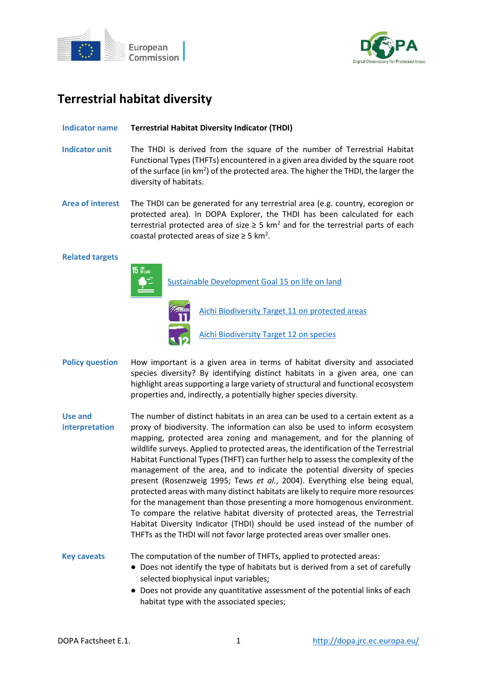



# **Terrestrial habitat diversity**

## **Indicator name Terrestrial Habitat Diversity Indicator (THDI)**

- **Indicator unit** The THDI is derived from the square of the number of Terrestrial Habitat Functional Types (THFTs) encountered in a given area divided by the square root of the surface (in  $km^2$ ) of the protected area. The higher the THDI, the larger the diversity of habitats.
- **Area of interest** The THDI can be generated for any terrestrial area (e.g. country, ecoregion or protected area). In DOPA Explorer, the THDI has been calculated for each terrestrial protected area of size  $\geq$  5 km<sup>2</sup> and for the terrestrial parts of each coastal protected areas of size  $\geq$  5 km<sup>2</sup>.

### **Related targets**



[Sustainable Development Goal 15 on life on land](https://sdgs.un.org/goals/goal15)

[Aichi Biodiversity Target 11 on protected areas](http://www.cbd.int/sp/targets/rationale/target-11/) [Aichi Biodiversity Target 12 on species](http://www.cbd.int/sp/targets/rationale/target-12/)

**Policy question** How important is a given area in terms of habitat diversity and associated species diversity? By identifying distinct habitats in a given area, one can highlight areas supporting a large variety of structural and functional ecosystem properties and, indirectly, a potentially higher species diversity.

**Use and interpretation** The number of distinct habitats in an area can be used to a certain extent as a proxy of biodiversity. The information can also be used to inform ecosystem mapping, protected area zoning and management, and for the planning of wildlife surveys. Applied to protected areas, the identification of the Terrestrial Habitat Functional Types (THFT) can further help to assess the complexity of the management of the area, and to indicate the potential diversity of species present (Rosenzweig 1995; Tews *et al.*, 2004). Everything else being equal, protected areas with many distinct habitats are likely to require more resources for the management than those presenting a more homogenous environment. To compare the relative habitat diversity of protected areas, the Terrestrial Habitat Diversity Indicator (THDI) should be used instead of the number of THFTs as the THDI will not favor large protected areas over smaller ones.

**Key caveats** The computation of the number of THFTs, applied to protected areas:

- Does not identify the type of habitats but is derived from a set of carefully selected biophysical input variables;
- Does not provide any quantitative assessment of the potential links of each habitat type with the associated species;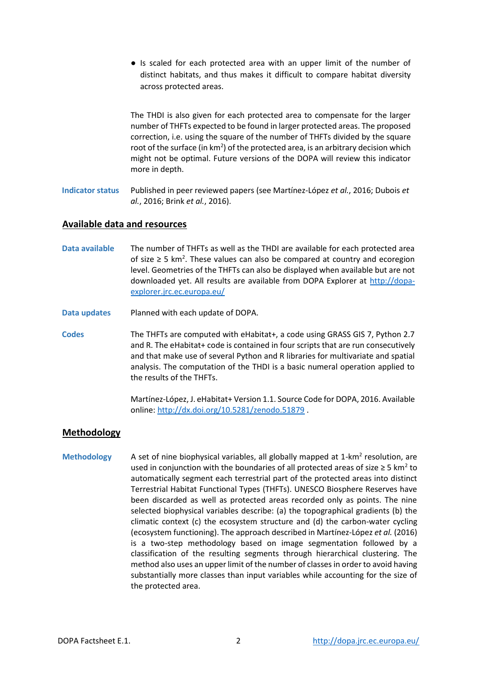● Is scaled for each protected area with an upper limit of the number of distinct habitats, and thus makes it difficult to compare habitat diversity across protected areas.

The THDI is also given for each protected area to compensate for the larger number of THFTs expected to be found in larger protected areas. The proposed correction, i.e. using the square of the number of THFTs divided by the square root of the surface (in  $km^2$ ) of the protected area, is an arbitrary decision which might not be optimal. Future versions of the DOPA will review this indicator more in depth.

**Indicator status** Published in peer reviewed papers (see Martínez-López *et al.*, 2016; Dubois *et al.*, 2016; Brink *et al.*, 2016).

# **Available data and resources**

- **Data available** The number of THFTs as well as the THDI are available for each protected area of size  $\geq$  5 km<sup>2</sup>. These values can also be compared at country and ecoregion level. Geometries of the THFTs can also be displayed when available but are not downloaded yet. All results are available from DOPA Explorer at [http://dopa](http://dopa-explorer.jrc.ec.europa.eu/)[explorer.jrc.ec.europa.eu/](http://dopa-explorer.jrc.ec.europa.eu/)
- **Data updates** Planned with each update of DOPA.
- **Codes** The THFTs are computed with eHabitat+, a code using GRASS GIS 7, Python 2.7 and R. The eHabitat+ code is contained in four scripts that are run consecutively and that make use of several Python and R libraries for multivariate and spatial analysis. The computation of the THDI is a basic numeral operation applied to the results of the THFTs.

Martínez-López, J. eHabitat+ Version 1.1. Source Code for DOPA, 2016. Available online[: http://dx.doi.org/10.5281/zenodo.51879](http://dx.doi.org/10.5281/zenodo.51879) .

# **Methodology**

Methodology A set of nine biophysical variables, all globally mapped at 1-km<sup>2</sup> resolution, are used in conjunction with the boundaries of all protected areas of size  $\geq 5$  km<sup>2</sup> to automatically segment each terrestrial part of the protected areas into distinct Terrestrial Habitat Functional Types (THFTs). UNESCO Biosphere Reserves have been discarded as well as protected areas recorded only as points. The nine selected biophysical variables describe: (a) the topographical gradients (b) the climatic context (c) the ecosystem structure and (d) the carbon-water cycling (ecosystem functioning). The approach described in Martínez-López *et al.* (2016) is a two-step methodology based on image segmentation followed by a classification of the resulting segments through hierarchical clustering. The method also uses an upper limit of the number of classes in order to avoid having substantially more classes than input variables while accounting for the size of the protected area.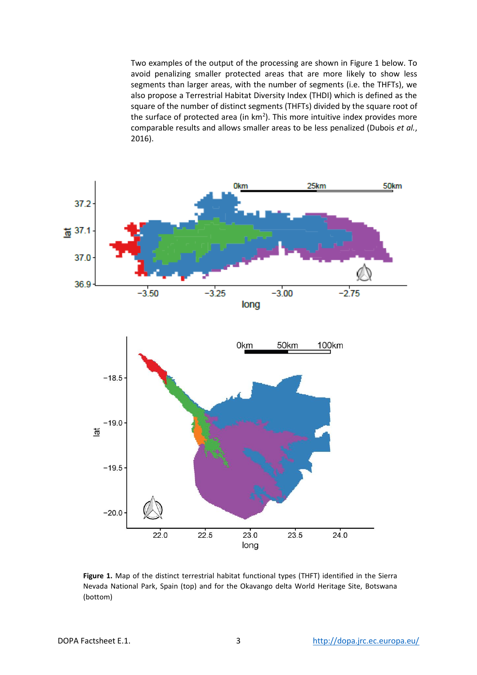Two examples of the output of the processing are shown in Figure 1 below. To avoid penalizing smaller protected areas that are more likely to show less segments than larger areas, with the number of segments (i.e. the THFTs), we also propose a Terrestrial Habitat Diversity Index (THDI) which is defined as the square of the number of distinct segments (THFTs) divided by the square root of the surface of protected area (in  $km<sup>2</sup>$ ). This more intuitive index provides more comparable results and allows smaller areas to be less penalized (Dubois *et al.*, 2016).



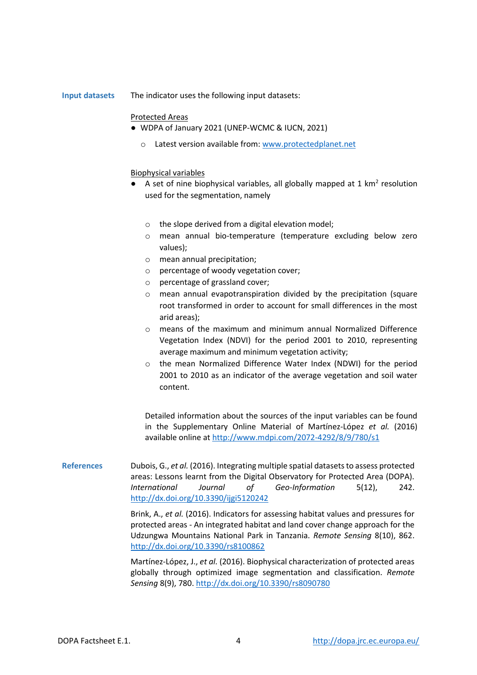**Input datasets** The indicator uses the following input datasets:

#### Protected Areas

- WDPA of January 2021 (UNEP-WCMC & IUCN, 2021)
	- o Latest version available from[: www.protectedplanet.net](http://www.protectedplanet.net/)

#### Biophysical variables

- $\bullet$  A set of nine biophysical variables, all globally mapped at 1 km<sup>2</sup> resolution used for the segmentation, namely
	- o the slope derived from a digital elevation model;
	- o mean annual bio-temperature (temperature excluding below zero values);
	- o mean annual precipitation;
	- o percentage of woody vegetation cover;
	- o percentage of grassland cover;
	- o mean annual evapotranspiration divided by the precipitation (square root transformed in order to account for small differences in the most arid areas);
	- o means of the maximum and minimum annual Normalized Difference Vegetation Index (NDVI) for the period 2001 to 2010, representing average maximum and minimum vegetation activity;
	- o the mean Normalized Difference Water Index (NDWI) for the period 2001 to 2010 as an indicator of the average vegetation and soil water content.

Detailed information about the sources of the input variables can be found in the Supplementary Online Material of Martínez-López *et al.* (2016) available online at<http://www.mdpi.com/2072-4292/8/9/780/s1>

**References** Dubois, G., *et al.* (2016). Integrating multiple spatial datasets to assess protected areas: Lessons learnt from the Digital Observatory for Protected Area (DOPA). *International Journal of Geo-Information* 5(12), 242. <http://dx.doi.org/10.3390/ijgi5120242>

> Brink, A., *et al.* (2016). Indicators for assessing habitat values and pressures for protected areas - An integrated habitat and land cover change approach for the Udzungwa Mountains National Park in Tanzania. *Remote Sensing* 8(10), 862. <http://dx.doi.org/10.3390/rs8100862>

> Martínez-López, J., *et al.* (2016). Biophysical characterization of protected areas globally through optimized image segmentation and classification. *Remote Sensing* 8(9), 780[. http://dx.doi.org/10.3390/rs8090780](http://dx.doi.org/10.3390/rs8090780)